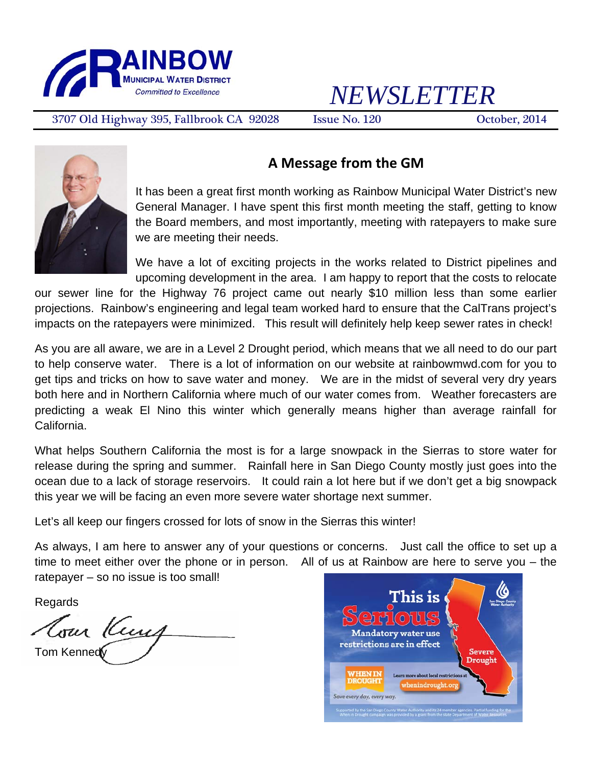

# *NEWSLETTER*

3707 Old Highway 395, Fallbrook CA 92028 Issue No. 120 October, 2014



### **A Message from the GM**

It has been a great first month working as Rainbow Municipal Water District's new General Manager. I have spent this first month meeting the staff, getting to know the Board members, and most importantly, meeting with ratepayers to make sure we are meeting their needs.

We have a lot of exciting projects in the works related to District pipelines and upcoming development in the area. I am happy to report that the costs to relocate

our sewer line for the Highway 76 project came out nearly \$10 million less than some earlier projections. Rainbow's engineering and legal team worked hard to ensure that the CalTrans project's impacts on the ratepayers were minimized. This result will definitely help keep sewer rates in check!

As you are all aware, we are in a Level 2 Drought period, which means that we all need to do our part to help conserve water. There is a lot of information on our website at rainbowmwd.com for you to get tips and tricks on how to save water and money. We are in the midst of several very dry years both here and in Northern California where much of our water comes from. Weather forecasters are predicting a weak El Nino this winter which generally means higher than average rainfall for California.

What helps Southern California the most is for a large snowpack in the Sierras to store water for release during the spring and summer. Rainfall here in San Diego County mostly just goes into the ocean due to a lack of storage reservoirs. It could rain a lot here but if we don't get a big snowpack this year we will be facing an even more severe water shortage next summer.

Let's all keep our fingers crossed for lots of snow in the Sierras this winter!

As always, I am here to answer any of your questions or concerns. Just call the office to set up a time to meet either over the phone or in person. All of us at Rainbow are here to serve you – the ratepayer – so no issue is too small!

Regards

Com Keny Tom Kennedy